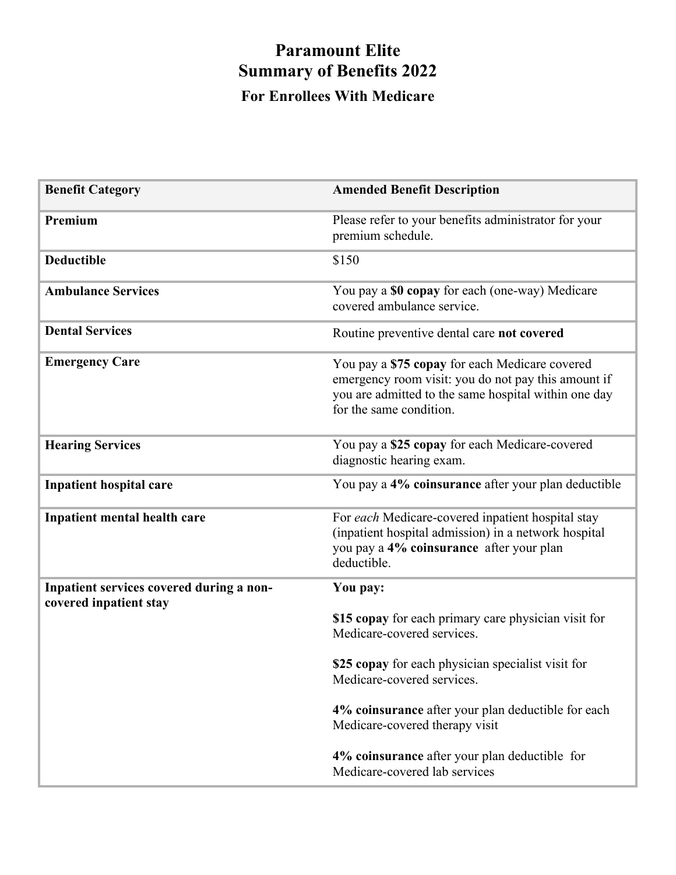## **Paramount Elite Summary of Benefits 2022 For Enrollees With Medicare**

| <b>Benefit Category</b>                                            | <b>Amended Benefit Description</b>                                                                                                                                                       |
|--------------------------------------------------------------------|------------------------------------------------------------------------------------------------------------------------------------------------------------------------------------------|
| Premium                                                            | Please refer to your benefits administrator for your<br>premium schedule.                                                                                                                |
| <b>Deductible</b>                                                  | \$150                                                                                                                                                                                    |
| <b>Ambulance Services</b>                                          | You pay a \$0 copay for each (one-way) Medicare<br>covered ambulance service.                                                                                                            |
| <b>Dental Services</b>                                             | Routine preventive dental care not covered                                                                                                                                               |
| <b>Emergency Care</b>                                              | You pay a \$75 copay for each Medicare covered<br>emergency room visit: you do not pay this amount if<br>you are admitted to the same hospital within one day<br>for the same condition. |
| <b>Hearing Services</b>                                            | You pay a \$25 copay for each Medicare-covered<br>diagnostic hearing exam.                                                                                                               |
| <b>Inpatient hospital care</b>                                     | You pay a 4% coinsurance after your plan deductible                                                                                                                                      |
| Inpatient mental health care                                       | For each Medicare-covered inpatient hospital stay<br>(inpatient hospital admission) in a network hospital<br>you pay a 4% coinsurance after your plan<br>deductible.                     |
| Inpatient services covered during a non-<br>covered inpatient stay | You pay:                                                                                                                                                                                 |
|                                                                    | \$15 copay for each primary care physician visit for<br>Medicare-covered services.                                                                                                       |
|                                                                    | \$25 copay for each physician specialist visit for<br>Medicare-covered services.                                                                                                         |
|                                                                    | 4% coinsurance after your plan deductible for each<br>Medicare-covered therapy visit                                                                                                     |
|                                                                    | 4% coinsurance after your plan deductible for<br>Medicare-covered lab services                                                                                                           |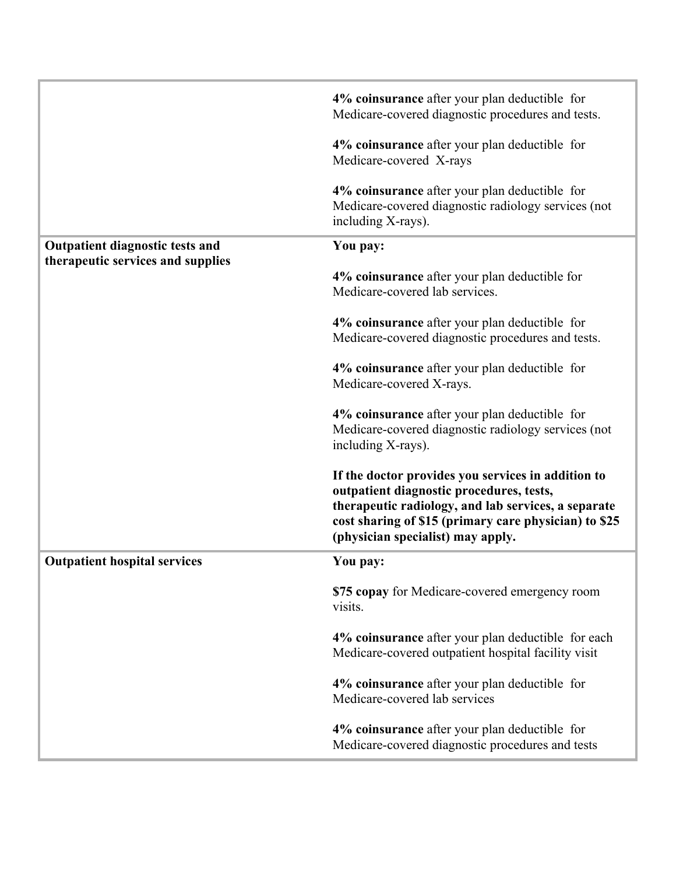|                                                                             | 4% coinsurance after your plan deductible for<br>Medicare-covered diagnostic procedures and tests.                                                                                                                                                  |
|-----------------------------------------------------------------------------|-----------------------------------------------------------------------------------------------------------------------------------------------------------------------------------------------------------------------------------------------------|
|                                                                             | 4% coinsurance after your plan deductible for<br>Medicare-covered X-rays                                                                                                                                                                            |
|                                                                             | 4% coinsurance after your plan deductible for<br>Medicare-covered diagnostic radiology services (not<br>including X-rays).                                                                                                                          |
| <b>Outpatient diagnostic tests and</b><br>therapeutic services and supplies | You pay:                                                                                                                                                                                                                                            |
|                                                                             | 4% coinsurance after your plan deductible for<br>Medicare-covered lab services.                                                                                                                                                                     |
|                                                                             | 4% coinsurance after your plan deductible for<br>Medicare-covered diagnostic procedures and tests.                                                                                                                                                  |
|                                                                             | 4% coinsurance after your plan deductible for<br>Medicare-covered X-rays.                                                                                                                                                                           |
|                                                                             | 4% coinsurance after your plan deductible for<br>Medicare-covered diagnostic radiology services (not<br>including X-rays).                                                                                                                          |
|                                                                             | If the doctor provides you services in addition to<br>outpatient diagnostic procedures, tests,<br>therapeutic radiology, and lab services, a separate<br>cost sharing of \$15 (primary care physician) to \$25<br>(physician specialist) may apply. |
| <b>Outpatient hospital services</b>                                         | You pay:                                                                                                                                                                                                                                            |
|                                                                             | \$75 copay for Medicare-covered emergency room<br>visits.                                                                                                                                                                                           |
|                                                                             | 4% coinsurance after your plan deductible for each<br>Medicare-covered outpatient hospital facility visit                                                                                                                                           |
|                                                                             | 4% coinsurance after your plan deductible for<br>Medicare-covered lab services                                                                                                                                                                      |
|                                                                             | 4% coinsurance after your plan deductible for<br>Medicare-covered diagnostic procedures and tests                                                                                                                                                   |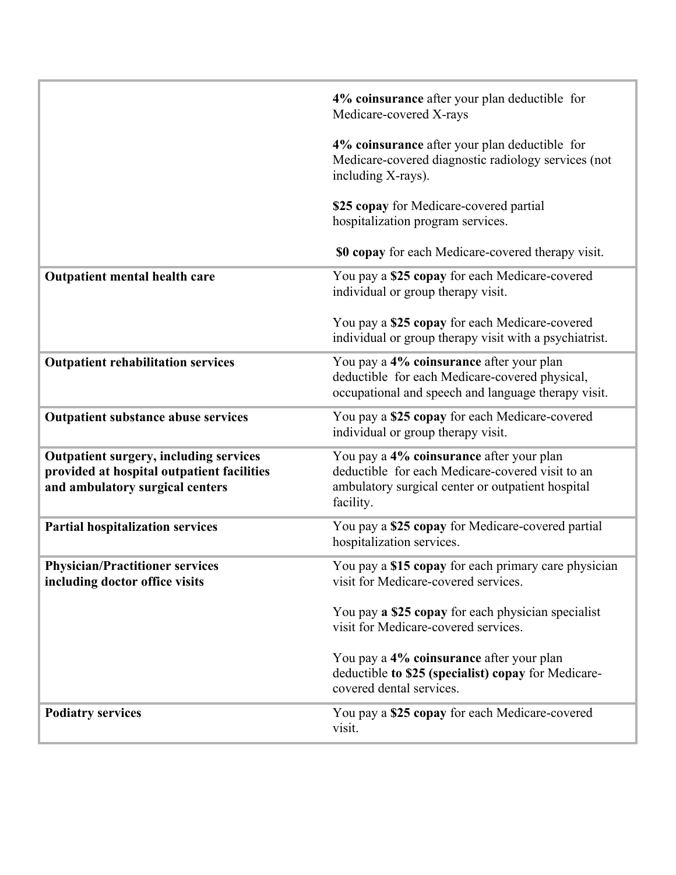|                                                                                                                                | 4% coinsurance after your plan deductible for<br>Medicare-covered X-rays                                                                                       |
|--------------------------------------------------------------------------------------------------------------------------------|----------------------------------------------------------------------------------------------------------------------------------------------------------------|
|                                                                                                                                | 4% coinsurance after your plan deductible for<br>Medicare-covered diagnostic radiology services (not<br>including X-rays).                                     |
|                                                                                                                                | \$25 copay for Medicare-covered partial<br>hospitalization program services.                                                                                   |
|                                                                                                                                | <b>\$0 copay</b> for each Medicare-covered therapy visit.                                                                                                      |
| Outpatient mental health care                                                                                                  | You pay a \$25 copay for each Medicare-covered<br>individual or group therapy visit.                                                                           |
|                                                                                                                                | You pay a \$25 copay for each Medicare-covered<br>individual or group therapy visit with a psychiatrist.                                                       |
| <b>Outpatient rehabilitation services</b>                                                                                      | You pay a 4% coinsurance after your plan<br>deductible for each Medicare-covered physical,<br>occupational and speech and language therapy visit.              |
| <b>Outpatient substance abuse services</b>                                                                                     | You pay a \$25 copay for each Medicare-covered<br>individual or group therapy visit.                                                                           |
| <b>Outpatient surgery, including services</b><br>provided at hospital outpatient facilities<br>and ambulatory surgical centers | You pay a 4% coinsurance after your plan<br>deductible for each Medicare-covered visit to an<br>ambulatory surgical center or outpatient hospital<br>facility. |
| <b>Partial hospitalization services</b>                                                                                        | You pay a \$25 copay for Medicare-covered partial<br>hospitalization services.                                                                                 |
| <b>Physician/Practitioner services</b><br>including doctor office visits                                                       | You pay a \$15 copay for each primary care physician<br>visit for Medicare-covered services.                                                                   |
|                                                                                                                                | You pay a \$25 copay for each physician specialist<br>visit for Medicare-covered services.                                                                     |
|                                                                                                                                | You pay a 4% coinsurance after your plan<br>deductible to \$25 (specialist) copay for Medicare-<br>covered dental services.                                    |
| <b>Podiatry services</b>                                                                                                       | You pay a \$25 copay for each Medicare-covered<br>visit.                                                                                                       |